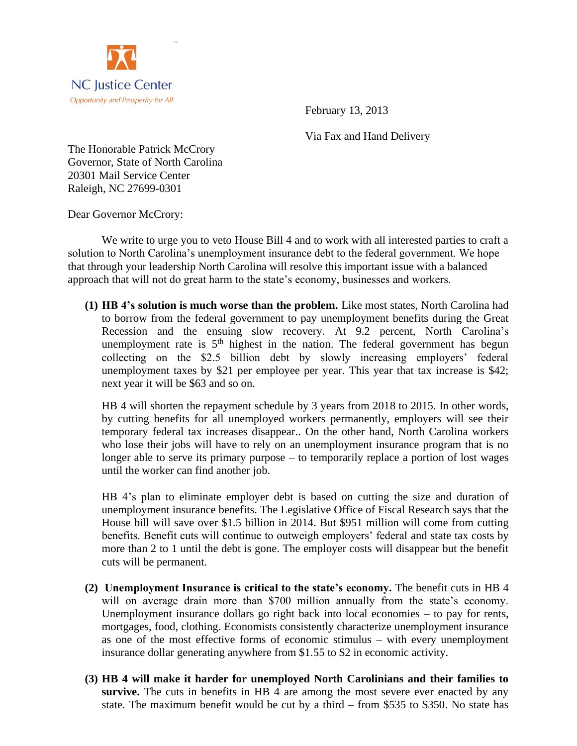

February 13, 2013

Via Fax and Hand Delivery

The Honorable Patrick McCrory Governor, State of North Carolina 20301 Mail Service Center Raleigh, NC 27699-0301

Dear Governor McCrory:

We write to urge you to veto House Bill 4 and to work with all interested parties to craft a solution to North Carolina's unemployment insurance debt to the federal government. We hope that through your leadership North Carolina will resolve this important issue with a balanced approach that will not do great harm to the state's economy, businesses and workers.

**(1) HB 4's solution is much worse than the problem.** Like most states, North Carolina had to borrow from the federal government to pay unemployment benefits during the Great Recession and the ensuing slow recovery. At 9.2 percent, North Carolina's unemployment rate is  $5<sup>th</sup>$  highest in the nation. The federal government has begun collecting on the \$2.5 billion debt by slowly increasing employers' federal unemployment taxes by \$21 per employee per year. This year that tax increase is \$42; next year it will be \$63 and so on.

HB 4 will shorten the repayment schedule by 3 years from 2018 to 2015. In other words, by cutting benefits for all unemployed workers permanently, employers will see their temporary federal tax increases disappear.. On the other hand, North Carolina workers who lose their jobs will have to rely on an unemployment insurance program that is no longer able to serve its primary purpose – to temporarily replace a portion of lost wages until the worker can find another job.

HB 4's plan to eliminate employer debt is based on cutting the size and duration of unemployment insurance benefits. The Legislative Office of Fiscal Research says that the House bill will save over \$1.5 billion in 2014. But \$951 million will come from cutting benefits. Benefit cuts will continue to outweigh employers' federal and state tax costs by more than 2 to 1 until the debt is gone. The employer costs will disappear but the benefit cuts will be permanent.

- **(2) Unemployment Insurance is critical to the state's economy.** The benefit cuts in HB 4 will on average drain more than \$700 million annually from the state's economy. Unemployment insurance dollars go right back into local economies – to pay for rents, mortgages, food, clothing. Economists consistently characterize unemployment insurance as one of the most effective forms of economic stimulus – with every unemployment insurance dollar generating anywhere from \$1.55 to \$2 in economic activity.
- **(3) HB 4 will make it harder for unemployed North Carolinians and their families to survive.** The cuts in benefits in HB 4 are among the most severe ever enacted by any state. The maximum benefit would be cut by a third – from \$535 to \$350. No state has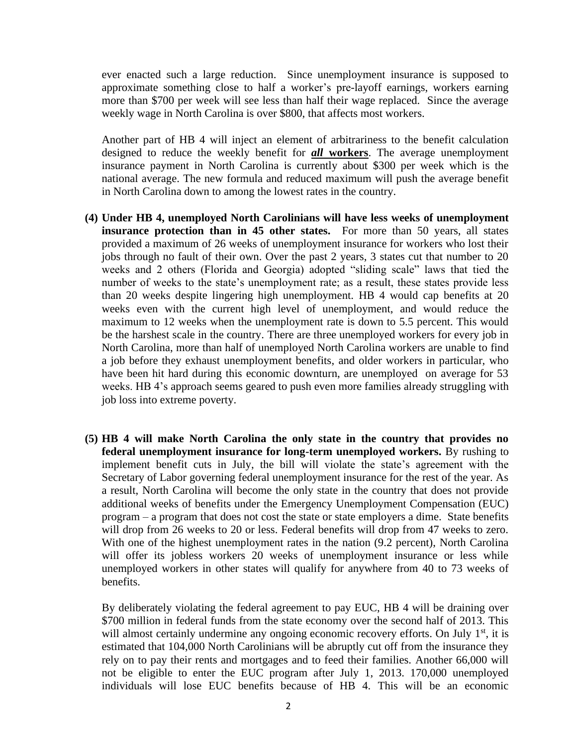ever enacted such a large reduction. Since unemployment insurance is supposed to approximate something close to half a worker's pre-layoff earnings, workers earning more than \$700 per week will see less than half their wage replaced. Since the average weekly wage in North Carolina is over \$800, that affects most workers.

Another part of HB 4 will inject an element of arbitrariness to the benefit calculation designed to reduce the weekly benefit for *all* **workers**. The average unemployment insurance payment in North Carolina is currently about \$300 per week which is the national average. The new formula and reduced maximum will push the average benefit in North Carolina down to among the lowest rates in the country.

- **(4) Under HB 4, unemployed North Carolinians will have less weeks of unemployment insurance protection than in 45 other states.** For more than 50 years, all states provided a maximum of 26 weeks of unemployment insurance for workers who lost their jobs through no fault of their own. Over the past 2 years, 3 states cut that number to 20 weeks and 2 others (Florida and Georgia) adopted "sliding scale" laws that tied the number of weeks to the state's unemployment rate; as a result, these states provide less than 20 weeks despite lingering high unemployment. HB 4 would cap benefits at 20 weeks even with the current high level of unemployment, and would reduce the maximum to 12 weeks when the unemployment rate is down to 5.5 percent. This would be the harshest scale in the country. There are three unemployed workers for every job in North Carolina, more than half of unemployed North Carolina workers are unable to find a job before they exhaust unemployment benefits, and older workers in particular, who have been hit hard during this economic downturn, are unemployed on average for 53 weeks. HB 4's approach seems geared to push even more families already struggling with job loss into extreme poverty.
- **(5) HB 4 will make North Carolina the only state in the country that provides no federal unemployment insurance for long-term unemployed workers.** By rushing to implement benefit cuts in July, the bill will violate the state's agreement with the Secretary of Labor governing federal unemployment insurance for the rest of the year. As a result, North Carolina will become the only state in the country that does not provide additional weeks of benefits under the Emergency Unemployment Compensation (EUC) program – a program that does not cost the state or state employers a dime. State benefits will drop from 26 weeks to 20 or less. Federal benefits will drop from 47 weeks to zero. With one of the highest unemployment rates in the nation (9.2 percent), North Carolina will offer its jobless workers 20 weeks of unemployment insurance or less while unemployed workers in other states will qualify for anywhere from 40 to 73 weeks of benefits.

By deliberately violating the federal agreement to pay EUC, HB 4 will be draining over \$700 million in federal funds from the state economy over the second half of 2013. This will almost certainly undermine any ongoing economic recovery efforts. On July  $1<sup>st</sup>$ , it is estimated that 104,000 North Carolinians will be abruptly cut off from the insurance they rely on to pay their rents and mortgages and to feed their families. Another 66,000 will not be eligible to enter the EUC program after July 1, 2013. 170,000 unemployed individuals will lose EUC benefits because of HB 4. This will be an economic